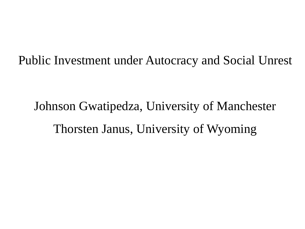Public Investment under Autocracy and Social Unrest

Johnson Gwatipedza, University of Manchester Thorsten Janus, University of Wyoming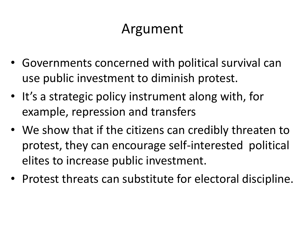## Argument

- Governments concerned with political survival can use public investment to diminish protest.
- It's a strategic policy instrument along with, for example, repression and transfers
- We show that if the citizens can credibly threaten to protest, they can encourage self-interested political elites to increase public investment.
- Protest threats can substitute for electoral discipline.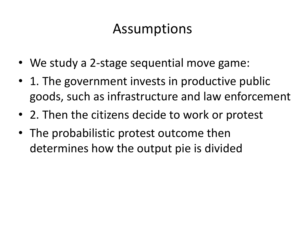## Assumptions

- We study a 2-stage sequential move game:
- 1. The government invests in productive public goods, such as infrastructure and law enforcement
- 2. Then the citizens decide to work or protest
- The probabilistic protest outcome then determines how the output pie is divided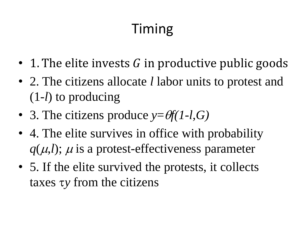## Timing

- 1. The elite invests  $G$  in productive public goods
- 2. The citizens allocate *l* labor units to protest and (1-*l*) to producing
- 3. The citizens produce  $y = \theta f(1-l,G)$
- 4. The elite survives in office with probability  $q(\mu, l)$ ;  $\mu$  is a protest-effectiveness parameter
- 5. If the elite survived the protests, it collects taxes *y* from the citizens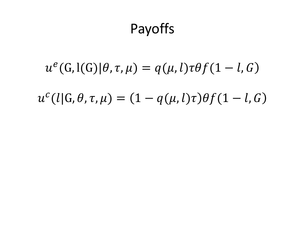## Payoffs

## $u^e(G, l(G)|\theta, \tau, \mu) = q(\mu, l) \tau \theta f(1-l, G)$

## $u^{c}(l|G, \theta, \tau, \mu) = (1 - q(\mu, l)\tau)\theta f(1 - l, G)$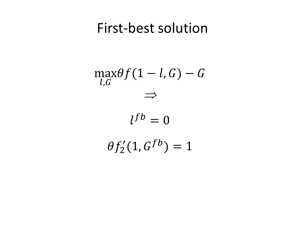### First-best solution

$$
\max_{l,G} \theta f(1-l,G) - G
$$
  
\n
$$
\implies
$$
  
\n
$$
l^{fb} = 0
$$
  
\n
$$
\theta f'_2(1, G^{fb}) = 1
$$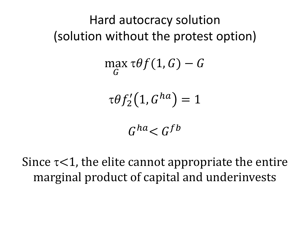### Hard autocracy solution (solution without the protest option)

$$
\max_G \tau \theta f(1, G) - G
$$

$$
\tau\theta f_2'(1, G^{ha})=1
$$

$$
G^{ha} < G^{fb}
$$

Since  $\tau$ <1, the elite cannot appropriate the entire marginal product of capital and underinvests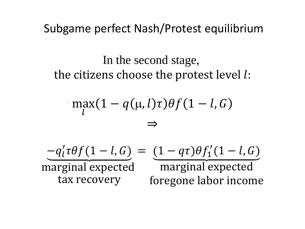Subgame perfect Nash/Protest equilibrium

In the second stage, the citizens choose the protest level  $l$ :

$$
\max_{l} (1 - q(\mu, l)\tau) \theta f(1 - l, G)
$$
  

$$
\Rightarrow
$$

$$
-q'_l \tau \theta f (1 - l, G) = (1 - q \tau) \theta f'_1 (1 - l, G)
$$
  
marginal expected marginal expected  
tax recovery foregone labor income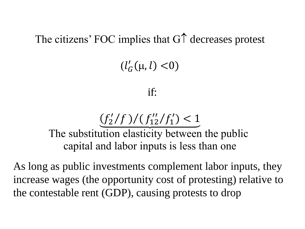The citizens' FOC implies that  $G\uparrow$  decreases protest

## $(l'_G(\mu, l) < 0)$

#### if:



The substitution elasticity between the public capital and labor inputs is less than one

As long as public investments complement labor inputs, they increase wages (the opportunity cost of protesting) relative to the contestable rent (GDP), causing protests to drop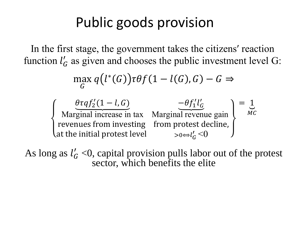## Public goods provision

In the first stage, the government takes the citizens′ reaction function  $l_G$  as given and chooses the public investment level G:

$$
\max_{G} q(l^*(G)) \tau \theta f(1 - l(G), G) - G \Rightarrow
$$

 $\theta \tau q f_2' (1-l, G)$ Marginal increase in tax revenues from investing at the initial protest level  $-\theta f_1' l_G'$ Marginal revenue gain from protest decline,  $> 0 \Leftrightarrow l_G' \leq 0$  $=$  1  $MC$ 

As long as  $l_G' < 0$ , capital provision pulls labor out of the protest sector, which benefits the elite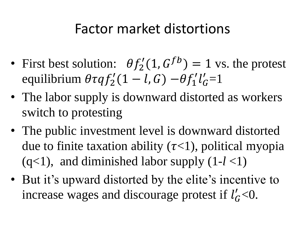## Factor market distortions

- First best solution:  $\theta f_2'(1, G^{fb}) = 1$  vs. the protest equilibrium  $\theta \tau q f_2' (1 - l, G) - \theta f_1' l_G' = 1$
- The labor supply is downward distorted as workers switch to protesting
- The public investment level is downward distorted due to finite taxation ability  $(\tau<1)$ , political myopia  $(q<1)$ , and diminished labor supply  $(1-l<1)$
- But it's upward distorted by the elite's incentive to increase wages and discourage protest if  $l'_G$ <0.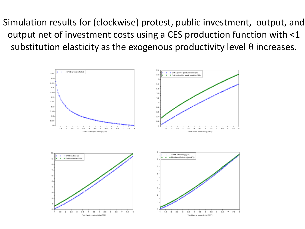Simulation results for (clockwise) protest, public investment, output, and output net of investment costs using a CES production function with <1 substitution elasticity as the exogenous productivity level  $\theta$  increases.

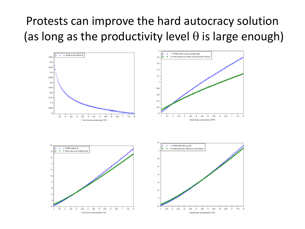### Protests can improve the hard autocracy solution (as long as the productivity level  $\theta$  is large enough)

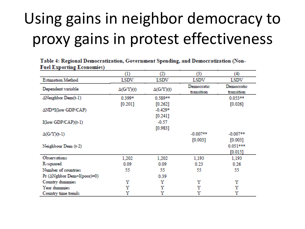## Using gains in neighbor democracy to proxy gains in protest effectiveness

|                                     | (1)              | (2)              | (3)                      | (4)                      |
|-------------------------------------|------------------|------------------|--------------------------|--------------------------|
| <b>Estimation Method</b>            | LSDV             | LSDV             | LSDV                     | LSDV                     |
| Dependent variable                  | $\Delta(G/Y)(t)$ | $\Delta(G/Y)(t)$ | Democratic<br>transition | Democratic<br>transition |
| $\Delta$ Neighbor Dem(t-1)          | $0.399*$         | 0.589**          |                          | $0.053**$                |
|                                     | [0.201]          | [0.262]          |                          | $[0.026]$                |
| ΔND*I(low GDP/CAP)                  |                  | $-0.429*$        |                          |                          |
|                                     |                  | $[0.241]$        |                          |                          |
| $I(\text{low GDP}/\text{CAP})(t-1)$ |                  | $-0.57$          |                          |                          |
|                                     |                  | $[0.983]$        |                          |                          |
| $\Delta(G/Y)(t-1)$                  |                  |                  | $-0.007**$               | $-0.007**$               |
|                                     |                  |                  | [0.003]                  | [0.003]                  |
| Neighbour Dem (t-2)                 |                  |                  |                          | $0.051***$               |
|                                     |                  |                  |                          | [0.015]                  |
| Observations                        | 1,202            | 1,202            | 1,193                    | 1,193                    |
| R-squared                           | 0.09             | 0.09             | 0.23                     | 0.26                     |
| Number of countries                 | 55               | 55               | 55                       | 55                       |
| Pr (ΔNghbor Dem+I(poor)=0)          |                  | 0.39             |                          |                          |
| Country dummies                     | Υ                | Υ                | Y                        | Υ                        |
| Year dummies                        | Υ                | Υ                | Υ                        | Υ                        |
| Country time trends                 | Υ                | Υ                | Υ                        | Υ                        |

Table 4: Regional Democratization, Government Spending, and Democratization (Non-**Fuel Exporting Economies)**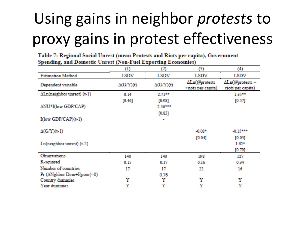## Using gains in neighbor *protests* to proxy gains in protest effectiveness

Table 7: Regional Social Unrest (mean Protests and Riots per capita), Government Spending, and Domestic Unrest (Non-Fuel Exporting Economies)

|                                     | (1)              | (2)              | (3)                                  | (4)                                          |
|-------------------------------------|------------------|------------------|--------------------------------------|----------------------------------------------|
| <b>Estimation Method</b>            | LSDV             | LSDV             | LSDV                                 | LSDV                                         |
| Dependent variable                  | $\Delta(G/Y)(t)$ | $\Delta(G/Y)(t)$ | ∆Ln((#protests<br>+riots per capita) | $\Delta$ Ln((#protests +<br>nots per capita) |
| $\Delta$ Ln(neighbor unrest) (t-1)  | 0.14             | $2.71**$         |                                      | 1.35**                                       |
|                                     | [0.46]           | [0.98]           |                                      | [0.57]                                       |
| ΔNU*I(low GDP/CAP)                  |                  | $-2.56***$       |                                      |                                              |
|                                     |                  | [0.83]           |                                      |                                              |
| $I(\text{low GDP}/\text{CAP})(t-1)$ |                  |                  |                                      |                                              |
| $\Delta(G/Y)(t-1)$                  |                  |                  | $-0.08*$                             | $-0.15***$                                   |
| Ln(neighbor unrest) (t-2)           |                  |                  | [0.04]                               | [0.05]<br>$1.62*$<br>[0.79]                  |
| Observations                        | 140              | 140              | 198                                  | 127                                          |
| R-squared                           | 0.15             | 0.17             | 0.16                                 | 0.34                                         |
| Number of countries                 | 17               | 17               | 22                                   | 16                                           |
| Pr $(\Delta$ Nghbor Dem+I(poor)=0)  |                  | 0.76             |                                      |                                              |
| Country dummies                     | Υ                | Υ                | Υ                                    | Υ                                            |
| Year dummies                        | Υ                | Υ                | Y                                    | Υ                                            |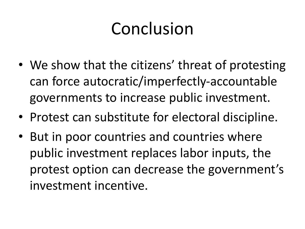# Conclusion

- We show that the citizens' threat of protesting can force autocratic/imperfectly-accountable governments to increase public investment.
- Protest can substitute for electoral discipline.
- But in poor countries and countries where public investment replaces labor inputs, the protest option can decrease the government's investment incentive.